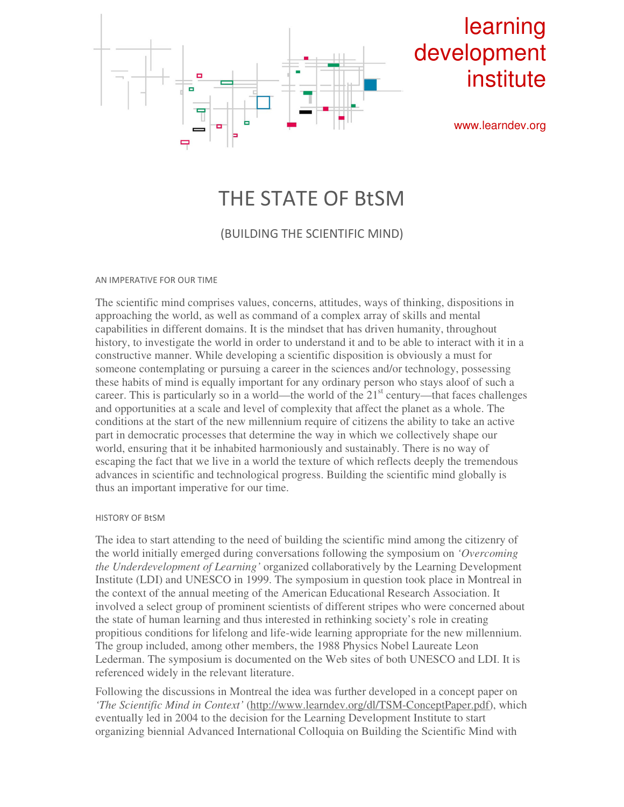

# THE STATE OF BtSM

## (BUILDING THE SCIENTIFIC MIND)

### AN IMPERATIVE FOR OUR TIME

The scientific mind comprises values, concerns, attitudes, ways of thinking, dispositions in approaching the world, as well as command of a complex array of skills and mental capabilities in different domains. It is the mindset that has driven humanity, throughout history, to investigate the world in order to understand it and to be able to interact with it in a constructive manner. While developing a scientific disposition is obviously a must for someone contemplating or pursuing a career in the sciences and/or technology, possessing these habits of mind is equally important for any ordinary person who stays aloof of such a career. This is particularly so in a world—the world of the  $21<sup>st</sup>$  century—that faces challenges and opportunities at a scale and level of complexity that affect the planet as a whole. The conditions at the start of the new millennium require of citizens the ability to take an active part in democratic processes that determine the way in which we collectively shape our world, ensuring that it be inhabited harmoniously and sustainably. There is no way of escaping the fact that we live in a world the texture of which reflects deeply the tremendous advances in scientific and technological progress. Building the scientific mind globally is thus an important imperative for our time.

### HISTORY OF BtSM

The idea to start attending to the need of building the scientific mind among the citizenry of the world initially emerged during conversations following the symposium on *'Overcoming the Underdevelopment of Learning'* organized collaboratively by the Learning Development Institute (LDI) and UNESCO in 1999. The symposium in question took place in Montreal in the context of the annual meeting of the American Educational Research Association. It involved a select group of prominent scientists of different stripes who were concerned about the state of human learning and thus interested in rethinking society's role in creating propitious conditions for lifelong and life-wide learning appropriate for the new millennium. The group included, among other members, the 1988 Physics Nobel Laureate Leon Lederman. The symposium is documented on the Web sites of both UNESCO and LDI. It is referenced widely in the relevant literature.

Following the discussions in Montreal the idea was further developed in a concept paper on *'The Scientific Mind in Context'* (http://www.learndev.org/dl/TSM-ConceptPaper.pdf), which eventually led in 2004 to the decision for the Learning Development Institute to start organizing biennial Advanced International Colloquia on Building the Scientific Mind with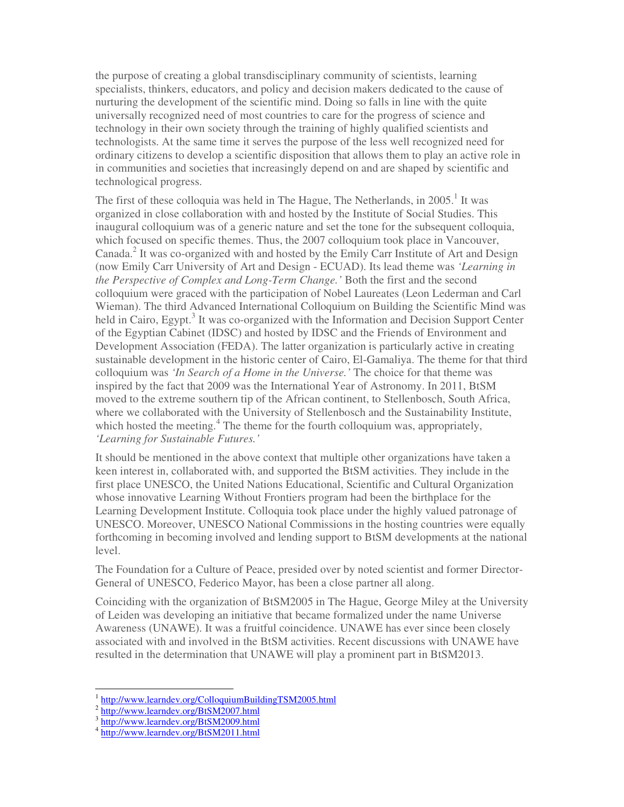the purpose of creating a global transdisciplinary community of scientists, learning specialists, thinkers, educators, and policy and decision makers dedicated to the cause of nurturing the development of the scientific mind. Doing so falls in line with the quite universally recognized need of most countries to care for the progress of science and technology in their own society through the training of highly qualified scientists and technologists. At the same time it serves the purpose of the less well recognized need for ordinary citizens to develop a scientific disposition that allows them to play an active role in in communities and societies that increasingly depend on and are shaped by scientific and technological progress.

The first of these colloquia was held in The Hague, The Netherlands, in  $2005$ .<sup>1</sup> It was organized in close collaboration with and hosted by the Institute of Social Studies. This inaugural colloquium was of a generic nature and set the tone for the subsequent colloquia, which focused on specific themes. Thus, the 2007 colloquium took place in Vancouver, Canada.<sup>2</sup> It was co-organized with and hosted by the Emily Carr Institute of Art and Design (now Emily Carr University of Art and Design - ECUAD). Its lead theme was *'Learning in the Perspective of Complex and Long-Term Change.'* Both the first and the second colloquium were graced with the participation of Nobel Laureates (Leon Lederman and Carl Wieman). The third Advanced International Colloquium on Building the Scientific Mind was held in Cairo, Egypt.<sup>3</sup> It was co-organized with the Information and Decision Support Center of the Egyptian Cabinet (IDSC) and hosted by IDSC and the Friends of Environment and Development Association (FEDA). The latter organization is particularly active in creating sustainable development in the historic center of Cairo, El-Gamaliya. The theme for that third colloquium was *'In Search of a Home in the Universe.'* The choice for that theme was inspired by the fact that 2009 was the International Year of Astronomy. In 2011, BtSM moved to the extreme southern tip of the African continent, to Stellenbosch, South Africa, where we collaborated with the University of Stellenbosch and the Sustainability Institute, which hosted the meeting.<sup>4</sup> The theme for the fourth colloquium was, appropriately, *'Learning for Sustainable Futures.'*

It should be mentioned in the above context that multiple other organizations have taken a keen interest in, collaborated with, and supported the BtSM activities. They include in the first place UNESCO, the United Nations Educational, Scientific and Cultural Organization whose innovative Learning Without Frontiers program had been the birthplace for the Learning Development Institute. Colloquia took place under the highly valued patronage of UNESCO. Moreover, UNESCO National Commissions in the hosting countries were equally forthcoming in becoming involved and lending support to BtSM developments at the national level.

The Foundation for a Culture of Peace, presided over by noted scientist and former Director-General of UNESCO, Federico Mayor, has been a close partner all along.

Coinciding with the organization of BtSM2005 in The Hague, George Miley at the University of Leiden was developing an initiative that became formalized under the name Universe Awareness (UNAWE). It was a fruitful coincidence. UNAWE has ever since been closely associated with and involved in the BtSM activities. Recent discussions with UNAWE have resulted in the determination that UNAWE will play a prominent part in BtSM2013.

 $\ddot{\phantom{a}}$ 

<sup>1</sup> http://www.learndev.org/ColloquiumBuildingTSM2005.html

<sup>&</sup>lt;sup>2</sup> http://www.learndev.org/BtSM2007.html

<sup>3</sup> http://www.learndev.org/BtSM2009.html

<sup>4</sup> http://www.learndev.org/BtSM2011.html